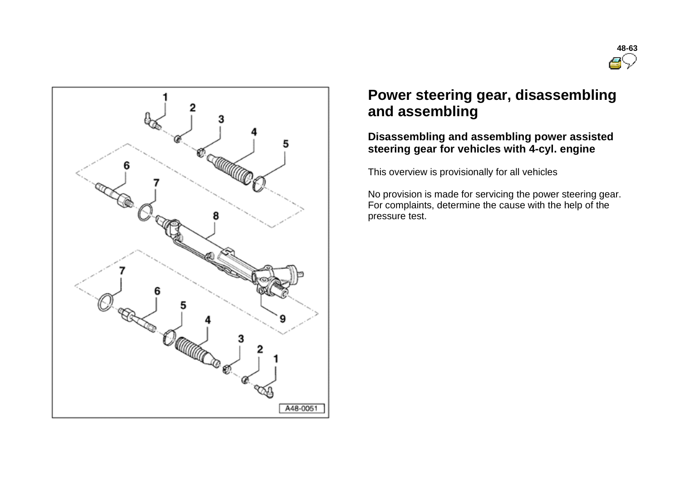



## **Power steering gear, disassembling and assembling**

## **Disassembling and assembling power assisted steering gear for vehicles with 4-cyl. engine**

This overview is provisionally for all vehicles

No provision is made for servicing the power steering gear. For complaints, determine the cause with the help of the pressure test.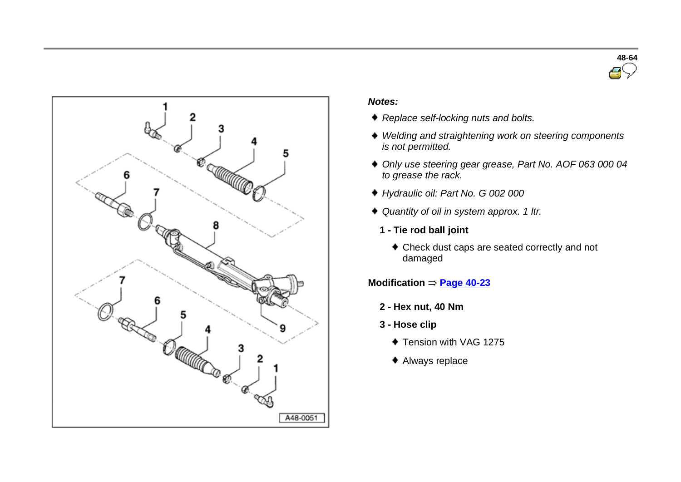



#### *Notes:*

- *Replace self-locking nuts and bolts.*
- *Welding and straightening work on steering components is not permitted.*
- *Only use steering gear grease, Part No. AOF 063 000 04 to grease the rack.*
- *Hydraulic oil: Part No. G 002 000*
- *Quantity of oil in system approx. 1 ltr.*
	- **1 - Tie rod ball joint**
		- Check dust caps are seated correctly and not damaged

**Modification**  $=$  **Page 40-23** 

- **2 - Hex nut, 40 Nm**
- **3 - Hose clip**
	- ◆ Tension with VAG 1275
	- Always replace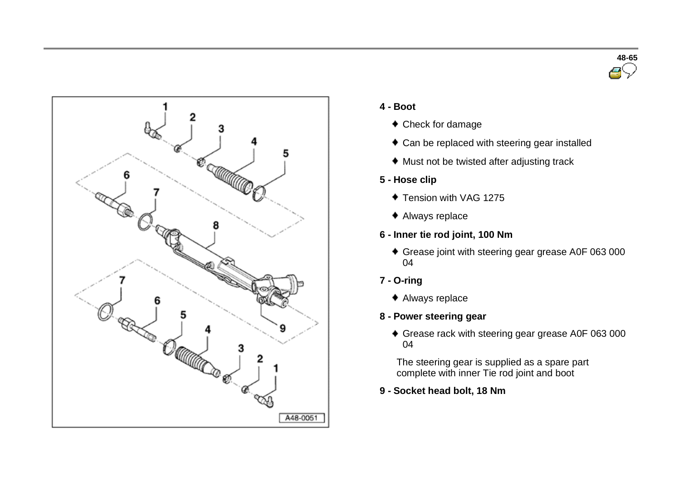



## **4 - Boot**

- Check for damage
- Can be replaced with steering gear installed
- Must not be twisted after adjusting track
- **5 - Hose clip**
	- ◆ Tension with VAG 1275
	- Always replace
- **6 - Inner tie rod joint, 100 Nm**
	- Grease joint with steering gear grease A0F 063 000 04
- **7 - O-ring**
	- Always replace
- **8 - Power steering gear**
	- Grease rack with steering gear grease A0F 063 000 04

The steering gear is supplied as a spare part complete with inner Tie rod joint and boot

**9 - Socket head bolt, 18 Nm**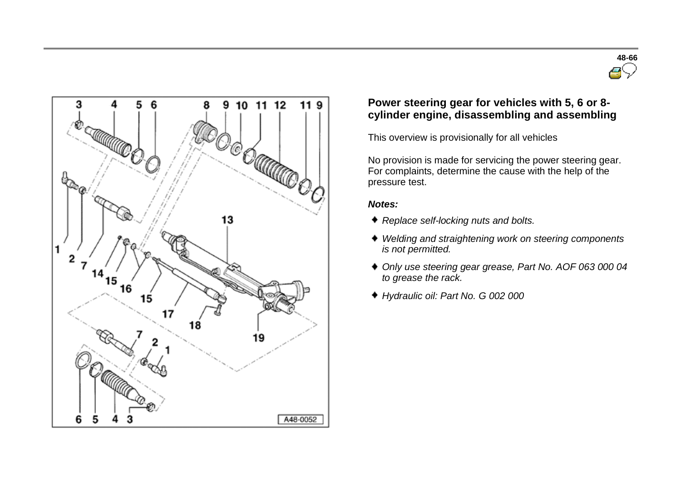



## **Power steering gear for vehicles with 5, 6 or 8 cylinder engine, disassembling and assembling**

This overview is provisionally for all vehicles

No provision is made for servicing the power steering gear. For complaints, determine the cause with the help of the pressure test.

#### *Notes:*

- *Replace self-locking nuts and bolts.*
- *Welding and straightening work on steering components is not permitted.*
- *Only use steering gear grease, Part No. AOF 063 000 04 to grease the rack.*
- *Hydraulic oil: Part No. G 002 000*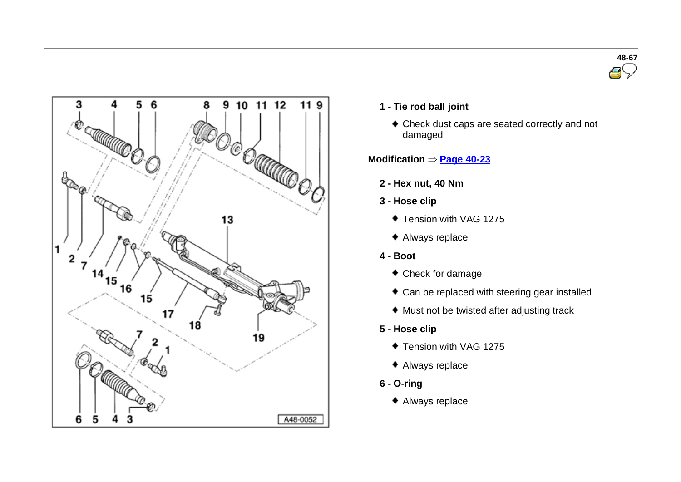



- **1 - Tie rod ball joint**
	- Check dust caps are seated correctly and not damaged
- **Modification**  $\Rightarrow$  **Page 40-23** 
	- **2 - Hex nut, 40 Nm**
	- **3 - Hose clip**
		- ◆ Tension with VAG 1275
		- Always replace
	- **4 - Boot**
		- Check for damage
		- ◆ Can be replaced with steering gear installed
		- Must not be twisted after adjusting track
	- **5 - Hose clip**
		- $\bullet$  Tension with VAG 1275
		- Always replace
	- **6 - O-ring**
		- Always replace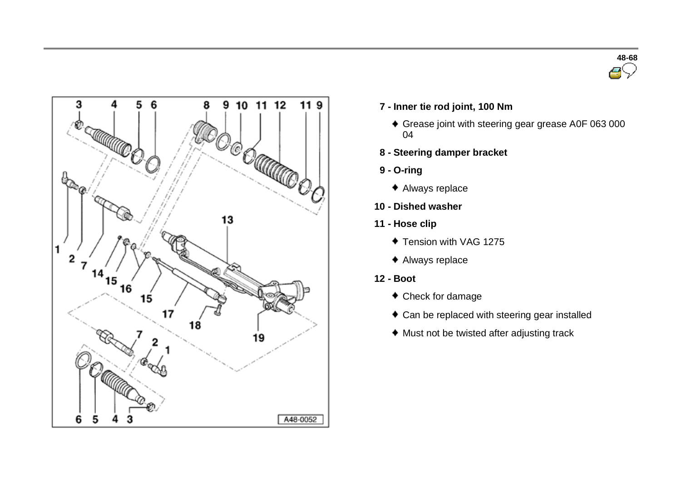



- **7 - Inner tie rod joint, 100 Nm**
	- Grease joint with steering gear grease A0F 063 000 04
- **8 - Steering damper bracket**
- **9 - O-ring**
	- Always replace
- **10 - Dished washer**
- **11 - Hose clip**
	- ◆ Tension with VAG 1275
	- Always replace
- **12 - Boot**
	- Check for damage
	- Can be replaced with steering gear installed
	- Must not be twisted after adjusting track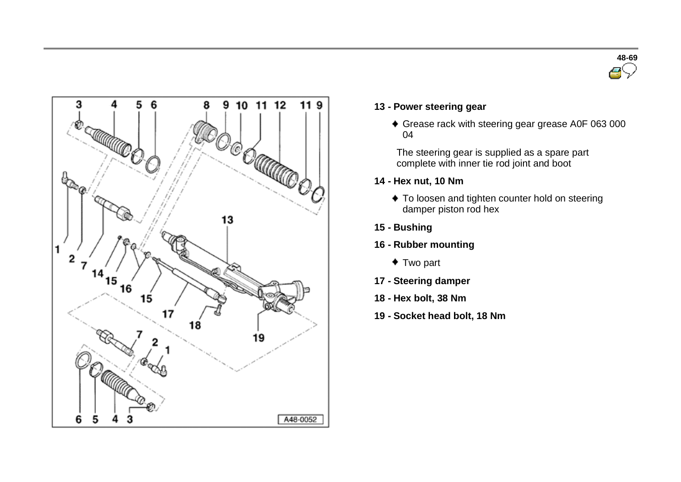



#### **13 - Power steering gear**

Grease rack with steering gear grease A0F 063 000 04

The steering gear is supplied as a spare part complete with inner tie rod joint and boot

- **14 - Hex nut, 10 Nm**
	- To loosen and tighten counter hold on steering damper piston rod hex
- **15 - Bushing**
- **16 - Rubber mounting**
	- ◆ Two part
- **17 - Steering damper**
- **18 - Hex bolt, 38 Nm**
- **19 - Socket head bolt, 18 Nm**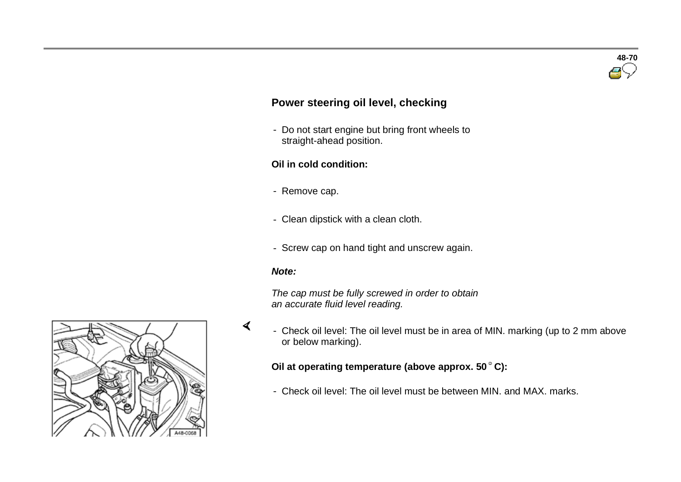

## **Power steering oil level, checking**

- Do not start engine but bring front wheels to straight-ahead position.

#### **Oil in cold condition:**

- Remove cap.
- Clean dipstick with a clean cloth.
- Screw cap on hand tight and unscrew again.

#### *Note:*

 $\sigma$ 

 *The cap must be fully screwed in order to obtain an accurate fluid level reading.*

- Check oil level: The oil level must be in area of MIN. marking (up to 2 mm above or below marking).

### **Oil at operating temperature (above approx. 50 C):**

- Check oil level: The oil level must be between MIN. and MAX. marks.

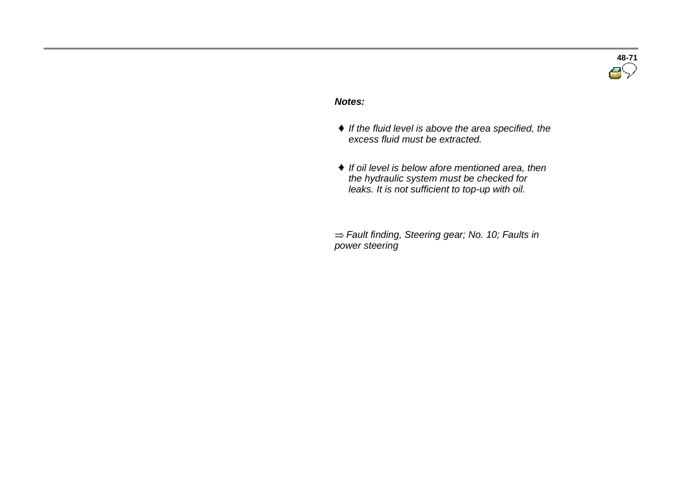

#### *Notes:*

- *If the fluid level is above the area specified, the excess fluid must be extracted.*
- *If oil level is below afore mentioned area, then the hydraulic system must be checked for leaks. It is not sufficient to top-up with oil.*

 *Fault finding, Steering gear; No. 10; Faults in power steering*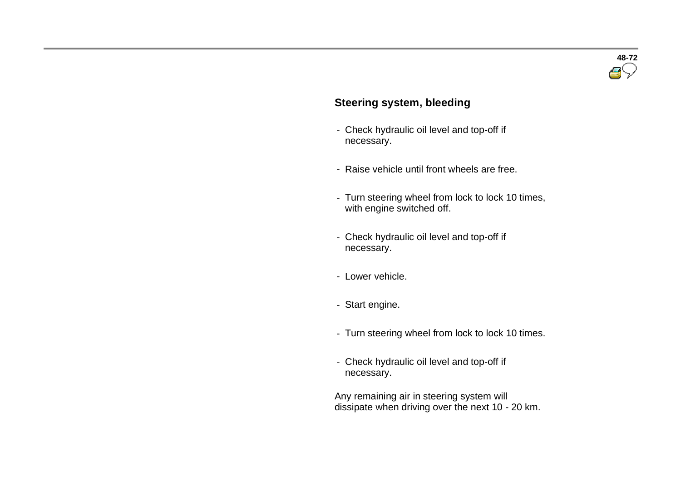

## **Steering system, bleeding**

- Check hydraulic oil level and top-off if necessary.
- Raise vehicle until front wheels are free.
- Turn steering wheel from lock to lock 10 times, with engine switched off.
- Check hydraulic oil level and top-off if necessary.
- Lower vehicle.
- Start engine.
- Turn steering wheel from lock to lock 10 times.
- Check hydraulic oil level and top-off if necessary.

 Any remaining air in steering system will dissipate when driving over the next 10 - 20 km.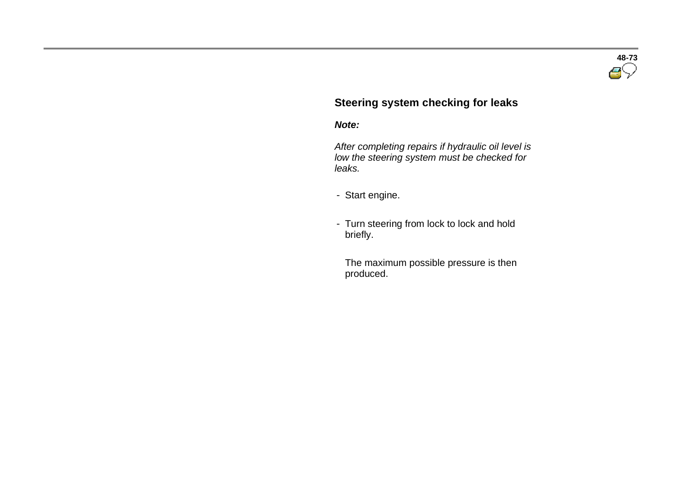

## **Steering system checking for leaks**

*Note:*

 *After completing repairs if hydraulic oil level is low the steering system must be checked for leaks.*

- Start engine.

- Turn steering from lock to lock and hold briefly.

 The maximum possible pressure is then produced.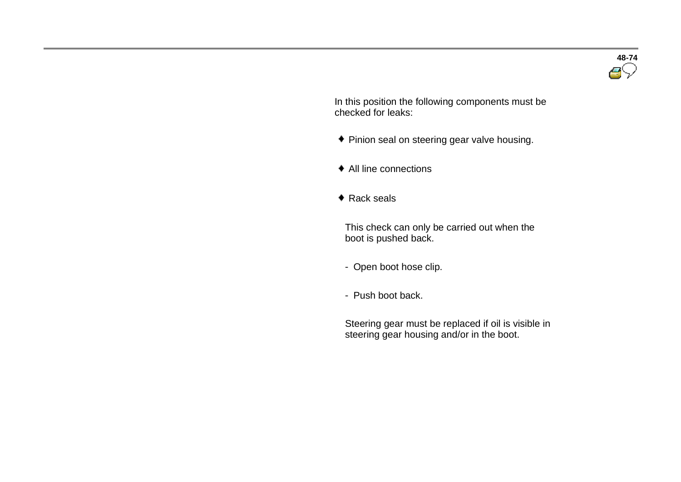

In this position the following components must be checked for leaks:

- Pinion seal on steering gear valve housing.
- All line connections
- $\triangleleft$  Rack seals

 This check can only be carried out when the boot is pushed back.

- Open boot hose clip.
- Push boot back.

 Steering gear must be replaced if oil is visible in steering gear housing and/or in the boot.